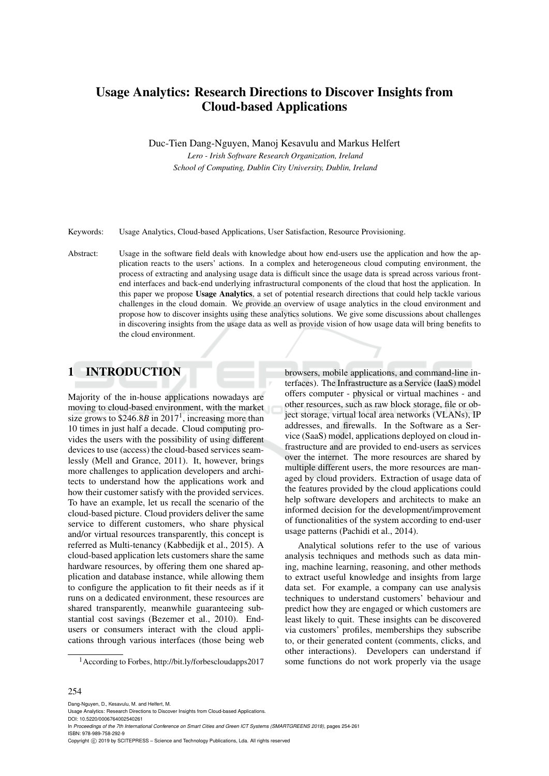# Usage Analytics: Research Directions to Discover Insights from Cloud-based Applications

Duc-Tien Dang-Nguyen, Manoj Kesavulu and Markus Helfert

*Lero - Irish Software Research Organization, Ireland School of Computing, Dublin City University, Dublin, Ireland*

Keywords: Usage Analytics, Cloud-based Applications, User Satisfaction, Resource Provisioning.

Abstract: Usage in the software field deals with knowledge about how end-users use the application and how the application reacts to the users' actions. In a complex and heterogeneous cloud computing environment, the process of extracting and analysing usage data is difficult since the usage data is spread across various frontend interfaces and back-end underlying infrastructural components of the cloud that host the application. In this paper we propose Usage Analytics, a set of potential research directions that could help tackle various challenges in the cloud domain. We provide an overview of usage analytics in the cloud environment and propose how to discover insights using these analytics solutions. We give some discussions about challenges in discovering insights from the usage data as well as provide vision of how usage data will bring benefits to the cloud environment.

## 1 INTRODUCTION

Majority of the in-house applications nowadays are moving to cloud-based environment, with the market size grows to  $$246.8B$  in  $2017<sup>1</sup>$ , increasing more than 10 times in just half a decade. Cloud computing provides the users with the possibility of using different devices to use (access) the cloud-based services seamlessly (Mell and Grance, 2011). It, however, brings more challenges to application developers and architects to understand how the applications work and how their customer satisfy with the provided services. To have an example, let us recall the scenario of the cloud-based picture. Cloud providers deliver the same service to different customers, who share physical and/or virtual resources transparently, this concept is referred as Multi-tenancy (Kabbedijk et al., 2015). A cloud-based application lets customers share the same hardware resources, by offering them one shared application and database instance, while allowing them to configure the application to fit their needs as if it runs on a dedicated environment, these resources are shared transparently, meanwhile guaranteeing substantial cost savings (Bezemer et al., 2010). Endusers or consumers interact with the cloud applications through various interfaces (those being web

browsers, mobile applications, and command-line interfaces). The Infrastructure as a Service (IaaS) model offers computer - physical or virtual machines - and other resources, such as raw block storage, file or object storage, virtual local area networks (VLANs), IP addresses, and firewalls. In the Software as a Service (SaaS) model, applications deployed on cloud infrastructure and are provided to end-users as services over the internet. The more resources are shared by multiple different users, the more resources are managed by cloud providers. Extraction of usage data of the features provided by the cloud applications could help software developers and architects to make an informed decision for the development/improvement of functionalities of the system according to end-user usage patterns (Pachidi et al., 2014).

Analytical solutions refer to the use of various analysis techniques and methods such as data mining, machine learning, reasoning, and other methods to extract useful knowledge and insights from large data set. For example, a company can use analysis techniques to understand customers' behaviour and predict how they are engaged or which customers are least likely to quit. These insights can be discovered via customers' profiles, memberships they subscribe to, or their generated content (comments, clicks, and other interactions). Developers can understand if some functions do not work properly via the usage

#### 254

Dang-Nguyen, D., Kesavulu, M. and Helfert, M.

DOI: 10.5220/0006764002540261

In *Proceedings of the 7th International Conference on Smart Cities and Green ICT Systems (SMARTGREENS 2018)*, pages 254-261 ISBN: 978-989-758-292-9

Copyright (C) 2019 by SCITEPRESS - Science and Technology Publications, Lda. All rights reserved

<sup>1</sup>According to Forbes, http://bit.ly/forbescloudapps2017

Usage Analytics: Research Directions to Discover Insights from Cloud-based Applications.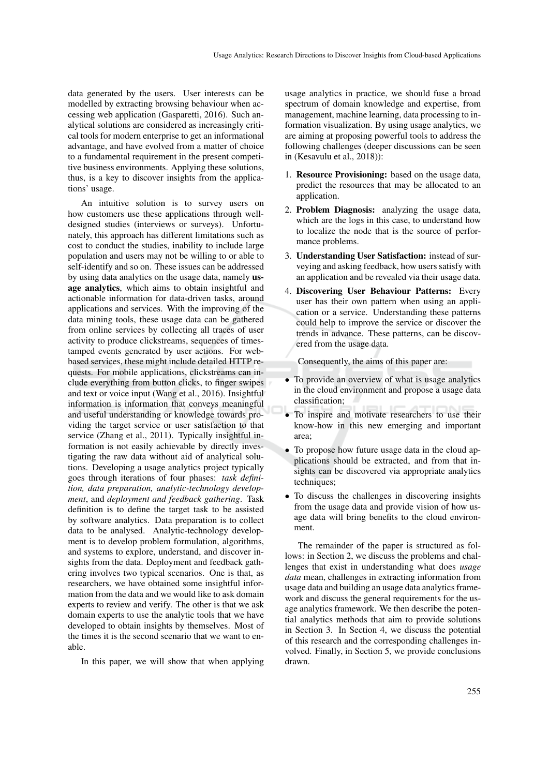data generated by the users. User interests can be modelled by extracting browsing behaviour when accessing web application (Gasparetti, 2016). Such analytical solutions are considered as increasingly critical tools for modern enterprise to get an informational advantage, and have evolved from a matter of choice to a fundamental requirement in the present competitive business environments. Applying these solutions, thus, is a key to discover insights from the applications' usage.

An intuitive solution is to survey users on how customers use these applications through welldesigned studies (interviews or surveys). Unfortunately, this approach has different limitations such as cost to conduct the studies, inability to include large population and users may not be willing to or able to self-identify and so on. These issues can be addressed by using data analytics on the usage data, namely usage analytics, which aims to obtain insightful and actionable information for data-driven tasks, around applications and services. With the improving of the data mining tools, these usage data can be gathered from online services by collecting all traces of user activity to produce clickstreams, sequences of timestamped events generated by user actions. For webbased services, these might include detailed HTTP requests. For mobile applications, clickstreams can include everything from button clicks, to finger swipes and text or voice input (Wang et al., 2016). Insightful information is information that conveys meaningful and useful understanding or knowledge towards providing the target service or user satisfaction to that service (Zhang et al., 2011). Typically insightful information is not easily achievable by directly investigating the raw data without aid of analytical solutions. Developing a usage analytics project typically goes through iterations of four phases: *task definition, data preparation, analytic-technology development*, and *deployment and feedback gathering*. Task definition is to define the target task to be assisted by software analytics. Data preparation is to collect data to be analysed. Analytic-technology development is to develop problem formulation, algorithms, and systems to explore, understand, and discover insights from the data. Deployment and feedback gathering involves two typical scenarios. One is that, as researchers, we have obtained some insightful information from the data and we would like to ask domain experts to review and verify. The other is that we ask domain experts to use the analytic tools that we have developed to obtain insights by themselves. Most of the times it is the second scenario that we want to enable.

In this paper, we will show that when applying

usage analytics in practice, we should fuse a broad spectrum of domain knowledge and expertise, from management, machine learning, data processing to information visualization. By using usage analytics, we are aiming at proposing powerful tools to address the following challenges (deeper discussions can be seen in (Kesavulu et al., 2018)):

- 1. Resource Provisioning: based on the usage data, predict the resources that may be allocated to an application.
- 2. Problem Diagnosis: analyzing the usage data, which are the logs in this case, to understand how to localize the node that is the source of performance problems.
- 3. Understanding User Satisfaction: instead of surveying and asking feedback, how users satisfy with an application and be revealed via their usage data.
- 4. Discovering User Behaviour Patterns: Every user has their own pattern when using an application or a service. Understanding these patterns could help to improve the service or discover the trends in advance. These patterns, can be discovered from the usage data.

Consequently, the aims of this paper are:

- To provide an overview of what is usage analytics in the cloud environment and propose a usage data classification;
- To inspire and motivate researchers to use their know-how in this new emerging and important area;
- To propose how future usage data in the cloud applications should be extracted, and from that insights can be discovered via appropriate analytics techniques;
- To discuss the challenges in discovering insights from the usage data and provide vision of how usage data will bring benefits to the cloud environment.

The remainder of the paper is structured as follows: in Section 2, we discuss the problems and challenges that exist in understanding what does *usage data* mean, challenges in extracting information from usage data and building an usage data analytics framework and discuss the general requirements for the usage analytics framework. We then describe the potential analytics methods that aim to provide solutions in Section 3. In Section 4, we discuss the potential of this research and the corresponding challenges involved. Finally, in Section 5, we provide conclusions drawn.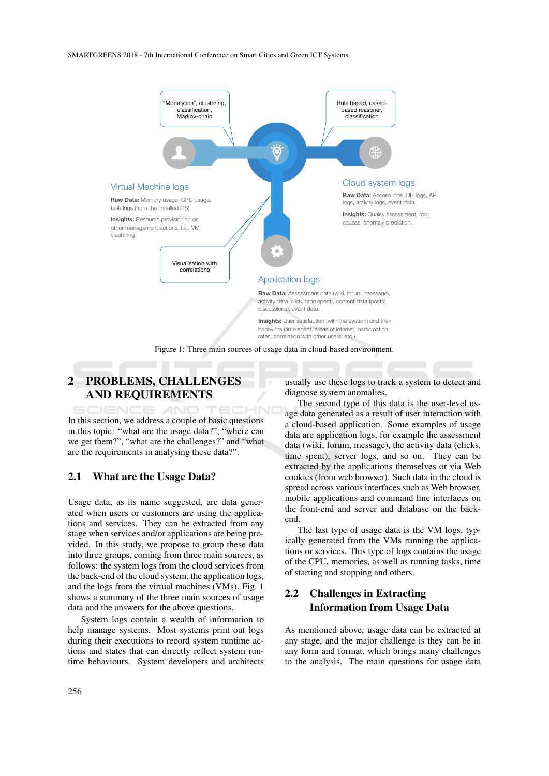

# 2 PROBLEMS, CHALLENGES AND REQUIREMENTS

**CIENCE AND** TEC HNC In this section, we address a couple of basic questions in this topic: "what are the usage data?", "where can we get them?", "what are the challenges?" and "what are the requirements in analysing these data?".

#### 2.1 What are the Usage Data?

Usage data, as its name suggested, are data generated when users or customers are using the applications and services. They can be extracted from any stage when services and/or applications are being provided. In this study, we propose to group these data into three groups, coming from three main sources, as follows: the system logs from the cloud services from the back-end of the cloud system, the application logs, and the logs from the virtual machines (VMs). Fig. 1 shows a summary of the three main sources of usage data and the answers for the above questions.

System logs contain a wealth of information to help manage systems. Most systems print out logs during their executions to record system runtime actions and states that can directly reflect system runtime behaviours. System developers and architects

usually use these logs to track a system to detect and diagnose system anomalies.

The second type of this data is the user-level usage data generated as a result of user interaction with a cloud-based application. Some examples of usage data are application logs, for example the assessment data (wiki, forum, message), the activity data (clicks, time spent), server logs, and so on. They can be extracted by the applications themselves or via Web cookies (from web browser). Such data in the cloud is spread across various interfaces such as Web browser, mobile applications and command line interfaces on the front-end and server and database on the backend.

The last type of usage data is the VM logs, typically generated from the VMs running the applications or services. This type of logs contains the usage of the CPU, memories, as well as running tasks, time of starting and stopping and others.

### 2.2 Challenges in Extracting Information from Usage Data

As mentioned above, usage data can be extracted at any stage, and the major challenge is they can be in any form and format, which brings many challenges to the analysis. The main questions for usage data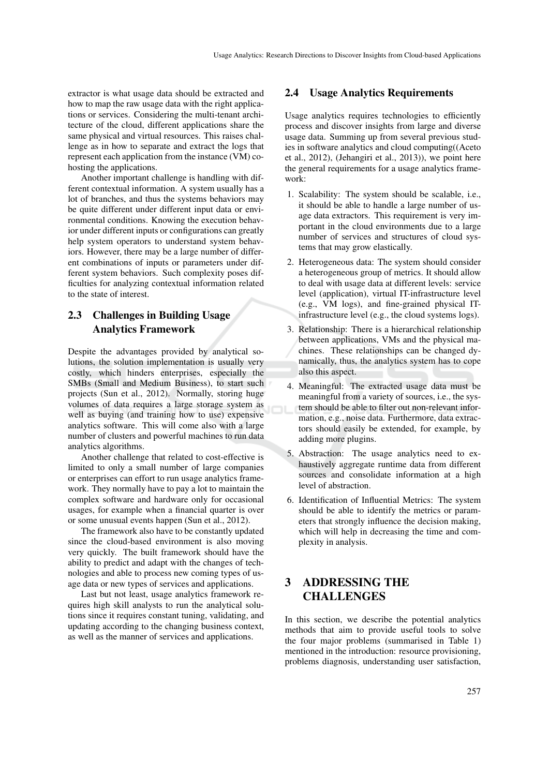extractor is what usage data should be extracted and how to map the raw usage data with the right applications or services. Considering the multi-tenant architecture of the cloud, different applications share the same physical and virtual resources. This raises challenge as in how to separate and extract the logs that represent each application from the instance (VM) cohosting the applications.

Another important challenge is handling with different contextual information. A system usually has a lot of branches, and thus the systems behaviors may be quite different under different input data or environmental conditions. Knowing the execution behavior under different inputs or configurations can greatly help system operators to understand system behaviors. However, there may be a large number of different combinations of inputs or parameters under different system behaviors. Such complexity poses difficulties for analyzing contextual information related to the state of interest.

### 2.3 Challenges in Building Usage Analytics Framework

Despite the advantages provided by analytical solutions, the solution implementation is usually very costly, which hinders enterprises, especially the SMBs (Small and Medium Business), to start such projects (Sun et al., 2012). Normally, storing huge volumes of data requires a large storage system as well as buying (and training how to use) expensive analytics software. This will come also with a large number of clusters and powerful machines to run data analytics algorithms.

Another challenge that related to cost-effective is limited to only a small number of large companies or enterprises can effort to run usage analytics framework. They normally have to pay a lot to maintain the complex software and hardware only for occasional usages, for example when a financial quarter is over or some unusual events happen (Sun et al., 2012).

The framework also have to be constantly updated since the cloud-based environment is also moving very quickly. The built framework should have the ability to predict and adapt with the changes of technologies and able to process new coming types of usage data or new types of services and applications.

Last but not least, usage analytics framework requires high skill analysts to run the analytical solutions since it requires constant tuning, validating, and updating according to the changing business context, as well as the manner of services and applications.

#### 2.4 Usage Analytics Requirements

Usage analytics requires technologies to efficiently process and discover insights from large and diverse usage data. Summing up from several previous studies in software analytics and cloud computing((Aceto et al., 2012), (Jehangiri et al., 2013)), we point here the general requirements for a usage analytics framework:

- 1. Scalability: The system should be scalable, i.e., it should be able to handle a large number of usage data extractors. This requirement is very important in the cloud environments due to a large number of services and structures of cloud systems that may grow elastically.
- 2. Heterogeneous data: The system should consider a heterogeneous group of metrics. It should allow to deal with usage data at different levels: service level (application), virtual IT-infrastructure level (e.g., VM logs), and fine-grained physical ITinfrastructure level (e.g., the cloud systems logs).
- 3. Relationship: There is a hierarchical relationship between applications, VMs and the physical machines. These relationships can be changed dynamically, thus, the analytics system has to cope also this aspect.
- 4. Meaningful: The extracted usage data must be meaningful from a variety of sources, i.e., the system should be able to filter out non-relevant information, e.g., noise data. Furthermore, data extractors should easily be extended, for example, by adding more plugins.
- 5. Abstraction: The usage analytics need to exhaustively aggregate runtime data from different sources and consolidate information at a high level of abstraction.
- 6. Identification of Influential Metrics: The system should be able to identify the metrics or parameters that strongly influence the decision making, which will help in decreasing the time and complexity in analysis.

### 3 ADDRESSING THE CHALLENGES

In this section, we describe the potential analytics methods that aim to provide useful tools to solve the four major problems (summarised in Table 1) mentioned in the introduction: resource provisioning, problems diagnosis, understanding user satisfaction,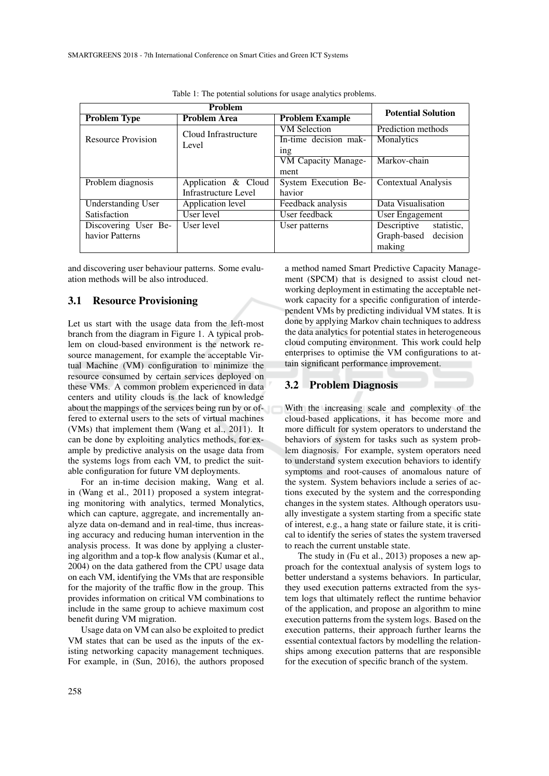| <b>Problem</b>            |                               |                        | <b>Potential Solution</b> |
|---------------------------|-------------------------------|------------------------|---------------------------|
| <b>Problem Type</b>       | <b>Problem Area</b>           | <b>Problem Example</b> |                           |
| <b>Resource Provision</b> | Cloud Infrastructure<br>Level | <b>VM</b> Selection    | Prediction methods        |
|                           |                               | In-time decision mak-  | Monalytics                |
|                           |                               | 1 <sub>ng</sub>        |                           |
|                           |                               | VM Capacity Manage-    | Markov-chain              |
|                           |                               | ment                   |                           |
| Problem diagnosis         | Application & Cloud           | System Execution Be-   | Contextual Analysis       |
|                           | Infrastructure Level          | havior                 |                           |
| <b>Understanding User</b> | Application level             | Feedback analysis      | Data Visualisation        |
| Satisfaction              | User level                    | User feedback          | User Engagement           |
| Discovering User Be-      | User level                    | User patterns          | Descriptive<br>statistic, |
| havior Patterns           |                               |                        | Graph-based<br>decision   |
|                           |                               |                        | making                    |

Table 1: The potential solutions for usage analytics problems.

and discovering user behaviour patterns. Some evaluation methods will be also introduced.

#### 3.1 Resource Provisioning

Let us start with the usage data from the left-most branch from the diagram in Figure 1. A typical problem on cloud-based environment is the network resource management, for example the acceptable Virtual Machine (VM) configuration to minimize the resource consumed by certain services deployed on these VMs. A common problem experienced in data centers and utility clouds is the lack of knowledge about the mappings of the services being run by or offered to external users to the sets of virtual machines (VMs) that implement them (Wang et al., 2011). It can be done by exploiting analytics methods, for example by predictive analysis on the usage data from the systems logs from each VM, to predict the suitable configuration for future VM deployments.

For an in-time decision making, Wang et al. in (Wang et al., 2011) proposed a system integrating monitoring with analytics, termed Monalytics, which can capture, aggregate, and incrementally analyze data on-demand and in real-time, thus increasing accuracy and reducing human intervention in the analysis process. It was done by applying a clustering algorithm and a top-k flow analysis (Kumar et al., 2004) on the data gathered from the CPU usage data on each VM, identifying the VMs that are responsible for the majority of the traffic flow in the group. This provides information on critical VM combinations to include in the same group to achieve maximum cost benefit during VM migration.

Usage data on VM can also be exploited to predict VM states that can be used as the inputs of the existing networking capacity management techniques. For example, in (Sun, 2016), the authors proposed

a method named Smart Predictive Capacity Management (SPCM) that is designed to assist cloud networking deployment in estimating the acceptable network capacity for a specific configuration of interdependent VMs by predicting individual VM states. It is done by applying Markov chain techniques to address the data analytics for potential states in heterogeneous cloud computing environment. This work could help enterprises to optimise the VM configurations to attain significant performance improvement.

#### 3.2 Problem Diagnosis

With the increasing scale and complexity of the cloud-based applications, it has become more and more difficult for system operators to understand the behaviors of system for tasks such as system problem diagnosis. For example, system operators need to understand system execution behaviors to identify symptoms and root-causes of anomalous nature of the system. System behaviors include a series of actions executed by the system and the corresponding changes in the system states. Although operators usually investigate a system starting from a specific state of interest, e.g., a hang state or failure state, it is critical to identify the series of states the system traversed to reach the current unstable state.

The study in (Fu et al., 2013) proposes a new approach for the contextual analysis of system logs to better understand a systems behaviors. In particular, they used execution patterns extracted from the system logs that ultimately reflect the runtime behavior of the application, and propose an algorithm to mine execution patterns from the system logs. Based on the execution patterns, their approach further learns the essential contextual factors by modelling the relationships among execution patterns that are responsible for the execution of specific branch of the system.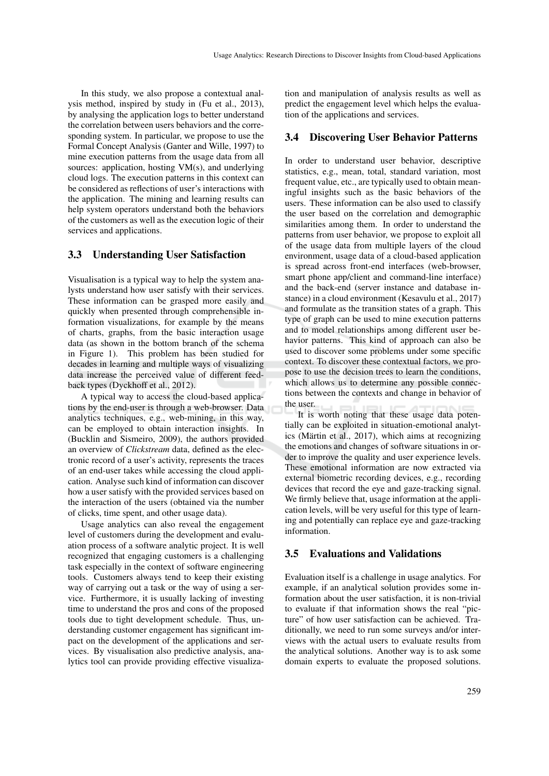In this study, we also propose a contextual analysis method, inspired by study in (Fu et al., 2013), by analysing the application logs to better understand the correlation between users behaviors and the corresponding system. In particular, we propose to use the Formal Concept Analysis (Ganter and Wille, 1997) to mine execution patterns from the usage data from all sources: application, hosting VM(s), and underlying cloud logs. The execution patterns in this context can be considered as reflections of user's interactions with the application. The mining and learning results can help system operators understand both the behaviors of the customers as well as the execution logic of their services and applications.

#### 3.3 Understanding User Satisfaction

Visualisation is a typical way to help the system analysts understand how user satisfy with their services. These information can be grasped more easily and quickly when presented through comprehensible information visualizations, for example by the means of charts, graphs, from the basic interaction usage data (as shown in the bottom branch of the schema in Figure 1). This problem has been studied for decades in learning and multiple ways of visualizing data increase the perceived value of different feedback types (Dyckhoff et al., 2012).

A typical way to access the cloud-based applications by the end-user is through a web-browser. Data analytics techniques, e.g., web-mining, in this way, can be employed to obtain interaction insights. In (Bucklin and Sismeiro, 2009), the authors provided an overview of *Clickstream* data, defined as the electronic record of a user's activity, represents the traces of an end-user takes while accessing the cloud application. Analyse such kind of information can discover how a user satisfy with the provided services based on the interaction of the users (obtained via the number of clicks, time spent, and other usage data).

Usage analytics can also reveal the engagement level of customers during the development and evaluation process of a software analytic project. It is well recognized that engaging customers is a challenging task especially in the context of software engineering tools. Customers always tend to keep their existing way of carrying out a task or the way of using a service. Furthermore, it is usually lacking of investing time to understand the pros and cons of the proposed tools due to tight development schedule. Thus, understanding customer engagement has significant impact on the development of the applications and services. By visualisation also predictive analysis, analytics tool can provide providing effective visualiza-

tion and manipulation of analysis results as well as predict the engagement level which helps the evaluation of the applications and services.

#### 3.4 Discovering User Behavior Patterns

In order to understand user behavior, descriptive statistics, e.g., mean, total, standard variation, most frequent value, etc., are typically used to obtain meaningful insights such as the basic behaviors of the users. These information can be also used to classify the user based on the correlation and demographic similarities among them. In order to understand the patterns from user behavior, we propose to exploit all of the usage data from multiple layers of the cloud environment, usage data of a cloud-based application is spread across front-end interfaces (web-browser, smart phone app/client and command-line interface) and the back-end (server instance and database instance) in a cloud environment (Kesavulu et al., 2017) and formulate as the transition states of a graph. This type of graph can be used to mine execution patterns and to model relationships among different user behavior patterns. This kind of approach can also be used to discover some problems under some specific context. To discover these contextual factors, we propose to use the decision trees to learn the conditions, which allows us to determine any possible connections between the contexts and change in behavior of the user.

It is worth noting that these usage data potentially can be exploited in situation-emotional analytics (Märtin et al.,  $2017$ ), which aims at recognizing the emotions and changes of software situations in order to improve the quality and user experience levels. These emotional information are now extracted via external biometric recording devices, e.g., recording devices that record the eye and gaze-tracking signal. We firmly believe that, usage information at the application levels, will be very useful for this type of learning and potentially can replace eye and gaze-tracking information.

#### 3.5 Evaluations and Validations

Evaluation itself is a challenge in usage analytics. For example, if an analytical solution provides some information about the user satisfaction, it is non-trivial to evaluate if that information shows the real "picture" of how user satisfaction can be achieved. Traditionally, we need to run some surveys and/or interviews with the actual users to evaluate results from the analytical solutions. Another way is to ask some domain experts to evaluate the proposed solutions.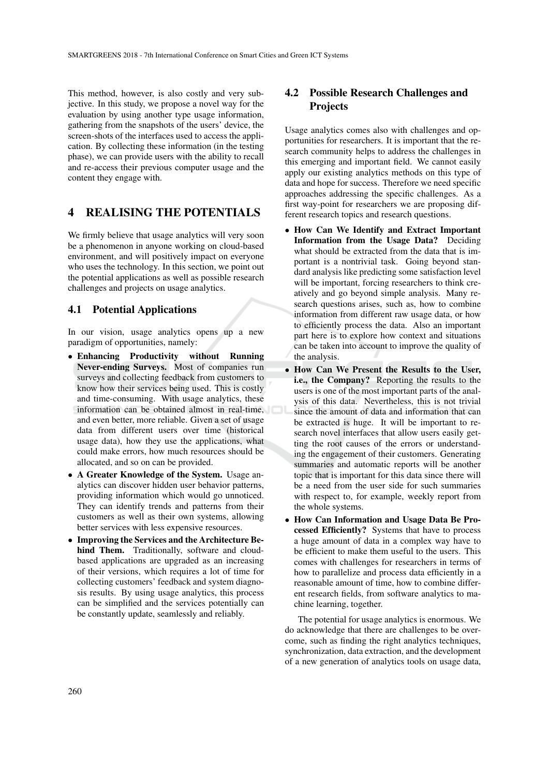This method, however, is also costly and very subjective. In this study, we propose a novel way for the evaluation by using another type usage information, gathering from the snapshots of the users' device, the screen-shots of the interfaces used to access the application. By collecting these information (in the testing phase), we can provide users with the ability to recall and re-access their previous computer usage and the content they engage with.

### 4 REALISING THE POTENTIALS

We firmly believe that usage analytics will very soon be a phenomenon in anyone working on cloud-based environment, and will positively impact on everyone who uses the technology. In this section, we point out the potential applications as well as possible research challenges and projects on usage analytics.

### 4.1 Potential Applications

In our vision, usage analytics opens up a new paradigm of opportunities, namely:

- Enhancing Productivity without Running Never-ending Surveys. Most of companies run surveys and collecting feedback from customers to know how their services being used. This is costly and time-consuming. With usage analytics, these information can be obtained almost in real-time, and even better, more reliable. Given a set of usage data from different users over time (historical usage data), how they use the applications, what could make errors, how much resources should be allocated, and so on can be provided.
- A Greater Knowledge of the System. Usage analytics can discover hidden user behavior patterns, providing information which would go unnoticed. They can identify trends and patterns from their customers as well as their own systems, allowing better services with less expensive resources.
- Improving the Services and the Architecture Behind Them. Traditionally, software and cloudbased applications are upgraded as an increasing of their versions, which requires a lot of time for collecting customers' feedback and system diagnosis results. By using usage analytics, this process can be simplified and the services potentially can be constantly update, seamlessly and reliably.

### 4.2 Possible Research Challenges and **Projects**

Usage analytics comes also with challenges and opportunities for researchers. It is important that the research community helps to address the challenges in this emerging and important field. We cannot easily apply our existing analytics methods on this type of data and hope for success. Therefore we need specific approaches addressing the specific challenges. As a first way-point for researchers we are proposing different research topics and research questions.

- How Can We Identify and Extract Important Information from the Usage Data? Deciding what should be extracted from the data that is important is a nontrivial task. Going beyond standard analysis like predicting some satisfaction level will be important, forcing researchers to think creatively and go beyond simple analysis. Many research questions arises, such as, how to combine information from different raw usage data, or how to efficiently process the data. Also an important part here is to explore how context and situations can be taken into account to improve the quality of the analysis.
- How Can We Present the Results to the User, i.e., the Company? Reporting the results to the users is one of the most important parts of the analysis of this data. Nevertheless, this is not trivial since the amount of data and information that can be extracted is huge. It will be important to research novel interfaces that allow users easily getting the root causes of the errors or understanding the engagement of their customers. Generating summaries and automatic reports will be another topic that is important for this data since there will be a need from the user side for such summaries with respect to, for example, weekly report from the whole systems.
- How Can Information and Usage Data Be Processed Efficiently? Systems that have to process a huge amount of data in a complex way have to be efficient to make them useful to the users. This comes with challenges for researchers in terms of how to parallelize and process data efficiently in a reasonable amount of time, how to combine different research fields, from software analytics to machine learning, together.

The potential for usage analytics is enormous. We do acknowledge that there are challenges to be overcome, such as finding the right analytics techniques, synchronization, data extraction, and the development of a new generation of analytics tools on usage data,